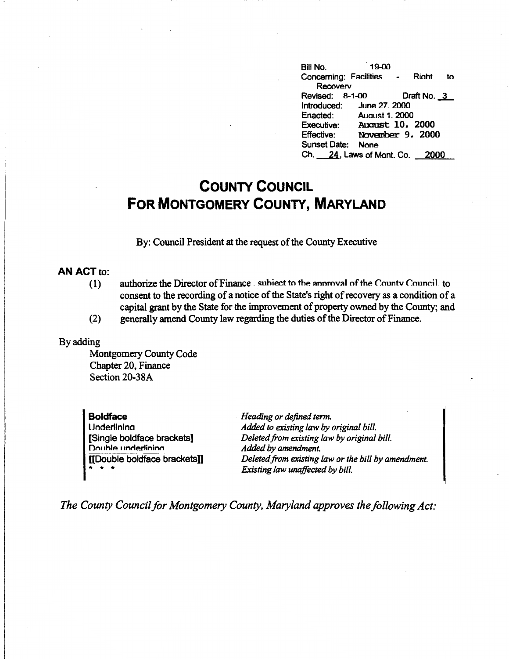Bill No. . 19-00 Concerning: Facilities - Riaht to **Recoverv** Revised: 8-1-00 Draft No. 3<br>Introduced: June 27. 2000 June 27. 2000 Enacted: August 1, 2000<br>Executive: August 10, Executive: August 10, 2000<br>Effective: November 9, 200 November 9. 2000 Sunset Date: None Ch. 24, Laws of Mont. Co. 2000

## **COUNTY COUNCIL FOR MONTGOMERY COUNTY, MARYLAND**

By: Council President at the request of the County Executive

## **AN ACT** to:

- (1) authorize the Director of Finance subiect to the annmyal of the County Council to consent to the recording of a notice of the State's right of recovery as a condition of a capital grant by the State for the improvement of property owned by the County; and
- (2) generally amend County law regarding the duties of the Director of Finance.

## By adding

Montgomery County Code Chapter 20, Finance Section 20-38A

**Boldface Underlining** [Single boldface brackets] Double underlining [[Double boldface brackets]] • • •

**Heading or defined term.** *Added to existing law by original bill. Deleted from existing law by original bill. Added by amendment. Deleted from existing law or the bill by amendment. Existing law unaffected by bill.* 

*The County Council for Montgomery County, Maryland approves the following Act:*